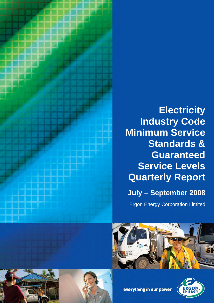

# **Electricity Industry Code Minimum Service Standards & Guaranteed Service Levels Quarterly Report July – September 2008**

Ergon Energy Corporation Limited





everything in our power

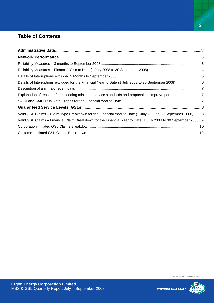## **Table of Contents**

| Explanation of reasons for exceeding minimum service standards and proposals to improve performance7             |  |
|------------------------------------------------------------------------------------------------------------------|--|
|                                                                                                                  |  |
|                                                                                                                  |  |
| Valid GSL Claims – Claim Type Breakdown for the Financial Year to Date (1 July 2008 to 30 September 2008)8       |  |
| Valid GSL Claims - Financial Claim Breakdown for the Financial Year to Date (1 July 2008 to 30 September 2008).9 |  |
|                                                                                                                  |  |
|                                                                                                                  |  |

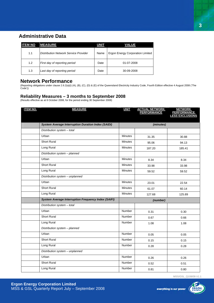### **Administrative Data**

| <b>ITEM NO</b> | <b>MEASURE</b>                        | <b>UNIT</b> | VALUE                                   |
|----------------|---------------------------------------|-------------|-----------------------------------------|
| 1.1            | Distribution Network Service Provider | Name        | <b>Ergon Energy Corporation Limited</b> |
| 1.2            | First day of reporting period         | Date        | 01-07-2008                              |
| 1.3            | Last day of reporting period          | Date        | 30-09-2008                              |

### **Network Performance**

(Reporting obligations under clause 2.6.2(a)(i) (A), (B), (C), (D) & (E) of the Queensland Electricity Industry Code, Fourth Edition effective 4 August 2008 ('The Code'))

### **Reliability Measures – 3 months to September 2008**

(Results effective as at 8 October 2008, for the period ending 30 September 2008)

| <b>ITEM NO.</b> | <b>MEASURE</b>                                             | <b>UNIT</b>    | <b>ACTUAL NETWORK<br/>PERFORMANCE</b> | <b>NETWORK</b><br><b>PERFORMANCE</b><br>LESS EXCLUSIONS |
|-----------------|------------------------------------------------------------|----------------|---------------------------------------|---------------------------------------------------------|
|                 |                                                            |                |                                       |                                                         |
|                 | <b>System Average Interruption Duration Index (SAIDI)</b>  |                | (minutes)                             |                                                         |
|                 | Distribution system - total                                |                |                                       |                                                         |
|                 | Urban                                                      | <b>Minutes</b> | 31.35                                 | 30.88                                                   |
|                 | <b>Short Rural</b>                                         | <b>Minutes</b> | 95.06                                 | 94.13                                                   |
|                 | Long Rural                                                 | <b>Minutes</b> | 187.20                                | 185.41                                                  |
|                 | Distribution system - planned                              |                |                                       |                                                         |
|                 | Urban                                                      | <b>Minutes</b> | 8.34                                  | 8.34                                                    |
|                 | <b>Short Rural</b>                                         | <b>Minutes</b> | 33.98                                 | 33.98                                                   |
|                 | Long Rural                                                 | <b>Minutes</b> | 59.52                                 | 59.52                                                   |
|                 | Distribution system - unplanned                            |                |                                       |                                                         |
|                 | Urban                                                      | <b>Minutes</b> | 23.01                                 | 22.54                                                   |
|                 | <b>Short Rural</b>                                         | <b>Minutes</b> | 61.07                                 | 60.14                                                   |
|                 | Long Rural                                                 | <b>Minutes</b> | 127.68                                | 125.89                                                  |
|                 | <b>System Average Interruption Frequency Index (SAIFI)</b> |                | (number)                              |                                                         |
|                 | Distribution system - total                                |                |                                       |                                                         |
|                 | Urban                                                      | Number         | 0.31                                  | 0.30                                                    |
|                 | <b>Short Rural</b>                                         | Number         | 0.67                                  | 0.66                                                    |
|                 | Long Rural                                                 | Number         | 1.08                                  | 1.08                                                    |
|                 | Distribution system - planned                              |                |                                       |                                                         |
|                 | Urban                                                      | <b>Number</b>  | 0.05                                  | 0.05                                                    |
|                 | Short Rural                                                | Number         | 0.15                                  | 0.15                                                    |
|                 | Long Rural                                                 | Number         | 0.28                                  | 0.28                                                    |
|                 | Distribution system - unplanned                            |                |                                       |                                                         |
|                 | Urban                                                      | Number         | 0.26                                  | 0.26                                                    |
|                 | <b>Short Rural</b>                                         | Number         | 0.52                                  | 0.51                                                    |
|                 | Long Rural                                                 | Number         | 0.81                                  | 0.80                                                    |

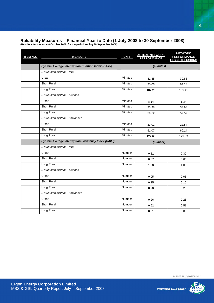### **Reliability Measures – Financial Year to Date (1 July 2008 to 30 September 2008) (Results effective as at 8 October 2008, for the period ending 30 September 2008)**

| <b>ITEM NO.</b> | <b>MEASURE</b>                                             | <b>UNIT</b>    | <b>ACTUAL NETWORK</b><br>PERFORMANCE | <b>NETWORK</b><br><b>PERFORMANCE</b><br><b>LESS EXCLUSIONS</b> |  |  |  |
|-----------------|------------------------------------------------------------|----------------|--------------------------------------|----------------------------------------------------------------|--|--|--|
|                 | <b>System Average Interruption Duration Index (SAIDI)</b>  | (minutes)      |                                      |                                                                |  |  |  |
|                 | Distribution system - total                                |                |                                      |                                                                |  |  |  |
|                 | Urban                                                      | <b>Minutes</b> | 31.35                                | 30.88                                                          |  |  |  |
|                 | <b>Short Rural</b>                                         | <b>Minutes</b> | 95.06                                | 94.13                                                          |  |  |  |
|                 | Long Rural                                                 | <b>Minutes</b> | 187.20                               | 185.41                                                         |  |  |  |
|                 | Distribution system - planned                              |                |                                      |                                                                |  |  |  |
|                 | Urban                                                      | Minutes        | 8.34                                 | 8.34                                                           |  |  |  |
|                 | <b>Short Rural</b>                                         | <b>Minutes</b> | 33.98                                | 33.98                                                          |  |  |  |
|                 | Long Rural                                                 | <b>Minutes</b> | 59.52                                | 59.52                                                          |  |  |  |
|                 | Distribution system - unplanned                            |                |                                      |                                                                |  |  |  |
|                 | Urban                                                      | <b>Minutes</b> | 23.01                                | 22.54                                                          |  |  |  |
|                 | <b>Short Rural</b>                                         | <b>Minutes</b> | 61.07                                | 60.14                                                          |  |  |  |
|                 | Long Rural                                                 | <b>Minutes</b> | 127.68                               | 125.89                                                         |  |  |  |
|                 | <b>System Average Interruption Frequency Index (SAIFI)</b> |                | (number)                             |                                                                |  |  |  |
|                 | Distribution system - total                                |                |                                      |                                                                |  |  |  |
|                 | Urban                                                      | Number         | 0.31                                 | 0.30                                                           |  |  |  |
|                 | <b>Short Rural</b>                                         | Number         | 0.67                                 | 0.66                                                           |  |  |  |
|                 | Long Rural                                                 | Number         | 1.08                                 | 1.08                                                           |  |  |  |
|                 | Distribution system - planned                              |                |                                      |                                                                |  |  |  |
|                 | Urban                                                      | Number         | 0.05                                 | 0.05                                                           |  |  |  |
|                 | <b>Short Rural</b>                                         | Number         | 0.15                                 | 0.15                                                           |  |  |  |
|                 | Long Rural                                                 | Number         | 0.28                                 | 0.28                                                           |  |  |  |
|                 | Distribution system - unplanned                            |                |                                      |                                                                |  |  |  |
|                 | Urban                                                      | <b>Number</b>  | 0.26                                 | 0.26                                                           |  |  |  |
|                 | <b>Short Rural</b>                                         | Number         | 0.52                                 | 0.51                                                           |  |  |  |
|                 | Long Rural                                                 | Number         | 0.81                                 | 0.80                                                           |  |  |  |

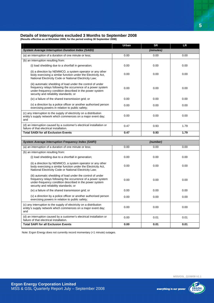### **Details of Interruptions excluded 3 Months to September 2008**

**(Results effective as at 8October 2008, for the period ending 30 September 2008)** 

|                                                                                                                                                                                                                                 | Urban    | <b>SR</b> | <b>LR</b> |  |  |  |
|---------------------------------------------------------------------------------------------------------------------------------------------------------------------------------------------------------------------------------|----------|-----------|-----------|--|--|--|
| <b>System Average Interruption Duration Index (SAIDI)</b>                                                                                                                                                                       |          | (minutes) |           |  |  |  |
| (a) an interruption of a duration of one minute or less;                                                                                                                                                                        | 0.00     | 0.00      | 0.00      |  |  |  |
| (b) an interruption resulting from:                                                                                                                                                                                             |          |           |           |  |  |  |
| (i) load shedding due to a shortfall in generation;                                                                                                                                                                             | 0.00     | 0.00      | 0.00      |  |  |  |
| (ii) a direction by NEMMCO, a system operator or any other<br>body exercising a similar function under the Electricity Act.<br>National Electricity Code or National Electricity Law;                                           | 0.00     | 0.00      | 0.00      |  |  |  |
| (iii) automatic shedding of load under the control of under<br>frequency relays following the occurrence of a power system<br>under-frequency condition described in the power system<br>security and reliability standards; or | 0.00     | 0.00      | 0.00      |  |  |  |
| (iv) a failure of the shared transmission grid; or                                                                                                                                                                              | 0.00     | 0.00      | 0.00      |  |  |  |
| (v) a direction by a police officer or another authorised person<br>exercising powers in relation to public safety;                                                                                                             | 0.00     | 0.00      | 0.00      |  |  |  |
| (c) any interruption to the supply of electricity on a distribution<br>entity's supply network which commences on a major event day;<br>and                                                                                     | 0.00     | 0.00      | 0.00      |  |  |  |
| (d) an interruption caused by a customer's electrical installation or<br>failure of that electrical installation.                                                                                                               | 0.47     | 0.93      | 1.79      |  |  |  |
| <b>Total SAIDI for all Exclusion Events</b>                                                                                                                                                                                     | 0.47     | 0.93      | 1.79      |  |  |  |
|                                                                                                                                                                                                                                 |          |           |           |  |  |  |
| <b>System Average Interruption Frequency Index (SAIFI)</b>                                                                                                                                                                      | (number) |           |           |  |  |  |
| (a) an interruption of a duration of one minute or less;                                                                                                                                                                        | 0.00     | 0.00      | 0.00      |  |  |  |
| (b) an interruption resulting from:                                                                                                                                                                                             |          |           |           |  |  |  |
|                                                                                                                                                                                                                                 |          |           |           |  |  |  |
| (i) load shedding due to a shortfall in generation;                                                                                                                                                                             | 0.00     | 0.00      | 0.00      |  |  |  |
| (ii) a direction by NEMMCO, a system operator or any other<br>body exercising a similar function under the Electricity Act,<br>National Electricity Code or National Electricity Law;                                           | 0.00     | 0.00      | 0.00      |  |  |  |
| (iii) automatic shedding of load under the control of under<br>frequency relays following the occurrence of a power system<br>under-frequency condition described in the power system<br>security and reliability standards; or | 0.00     | 0.00      | 0.00      |  |  |  |
| (iv) a failure of the shared transmission grid; or                                                                                                                                                                              | 0.00     | 0.00      | 0.00      |  |  |  |
| (v) a direction by a police officer or another authorised person<br>exercising powers in relation to public safety;                                                                                                             | 0.00     | 0.00      | 0.00      |  |  |  |
| (c) any interruption to the supply of electricity on a distribution<br>entity's supply network which commences on a major event day;<br>and                                                                                     | 0.00     | 0.00      | 0.00      |  |  |  |
| (d) an interruption caused by a customer's electrical installation or<br>failure of that electrical installation.                                                                                                               | 0.00     | 0.01      | 0.01      |  |  |  |

Note: Ergon Energy does not currently record momentary (<1 minute) outages.



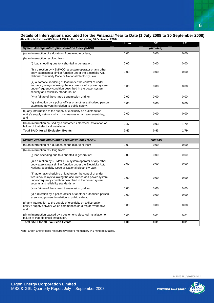### **Details of Interruptions excluded for the Financial Year to Date (1 July 2008 to 30 September 2008) (Results effective as at 8October 2008, for the period ending 30 September 2008)**

|                                                                                                                                                                                                                                 | Urban    | <b>SR</b> | <b>LR</b> |  |  |  |
|---------------------------------------------------------------------------------------------------------------------------------------------------------------------------------------------------------------------------------|----------|-----------|-----------|--|--|--|
| <b>System Average Interruption Duration Index (SAIDI)</b>                                                                                                                                                                       |          | (minutes) |           |  |  |  |
| (a) an interruption of a duration of one minute or less;                                                                                                                                                                        | 0.00     | 0.00      | 0.00      |  |  |  |
| (b) an interruption resulting from:                                                                                                                                                                                             |          |           |           |  |  |  |
| (i) load shedding due to a shortfall in generation;                                                                                                                                                                             | 0.00     | 0.00      | 0.00      |  |  |  |
| (ii) a direction by NEMMCO, a system operator or any other<br>body exercising a similar function under the Electricity Act,<br>National Electricity Code or National Electricity Law;                                           | 0.00     | 0.00      | 0.00      |  |  |  |
| (iii) automatic shedding of load under the control of under<br>frequency relays following the occurrence of a power system<br>under-frequency condition described in the power system<br>security and reliability standards; or | 0.00     | 0.00      | 0.00      |  |  |  |
| (iv) a failure of the shared transmission grid; or                                                                                                                                                                              | 0.00     | 0.00      | 0.00      |  |  |  |
| (v) a direction by a police officer or another authorised person<br>exercising powers in relation to public safety;                                                                                                             | 0.00     | 0.00      | 0.00      |  |  |  |
| (c) any interruption to the supply of electricity on a distribution<br>entity's supply network which commences on a major event day;<br>and                                                                                     | 0.00     | 0.00      | 0.00      |  |  |  |
| (d) an interruption caused by a customer's electrical installation or<br>failure of that electrical installation.                                                                                                               | 0.47     | 0.93      | 1.79      |  |  |  |
| <b>Total SAIDI for all Exclusion Events</b>                                                                                                                                                                                     | 0.47     | 0.93      | 1.79      |  |  |  |
|                                                                                                                                                                                                                                 |          |           |           |  |  |  |
| <b>System Average Interruption Frequency Index (SAIFI)</b>                                                                                                                                                                      | (number) |           |           |  |  |  |
| (a) an interruption of a duration of one minute or less;                                                                                                                                                                        | 0.00     | 0.00      | 0.00      |  |  |  |
| (b) an interruption resulting from:                                                                                                                                                                                             |          |           |           |  |  |  |
| (i) load shedding due to a shortfall in generation;                                                                                                                                                                             | 0.00     | 0.00      | 0.00      |  |  |  |
| (ii) a direction by NEMMCO, a system operator or any other<br>body exercising a similar function under the Electricity Act,<br>National Electricity Code or National Electricity Law;                                           | 0.00     | 0.00      | 0.00      |  |  |  |
| (iii) automatic shedding of load under the control of under<br>frequency relays following the occurrence of a power system<br>under-frequency condition described in the power system<br>security and reliability standards; or | 0.00     | 0.00      | 0.00      |  |  |  |
| (iv) a failure of the shared transmission grid; or                                                                                                                                                                              | 0.00     | 0.00      | 0.00      |  |  |  |
| (v) a direction by a police officer or another authorised person<br>exercising powers in relation to public safety;                                                                                                             | 0.00     | 0.00      | 0.00      |  |  |  |
| (c) any interruption to the supply of electricity on a distribution<br>entity's supply network which commences on a major event day;<br>and                                                                                     | 0.00     | 0.00      | 0.00      |  |  |  |
| (d) an interruption caused by a customer's electrical installation or                                                                                                                                                           |          |           |           |  |  |  |
| failure of that electrical installation.                                                                                                                                                                                        | 0.00     | 0.01      | 0.01      |  |  |  |

Note: Ergon Energy does not currently record momentary (<1 minute) outages.

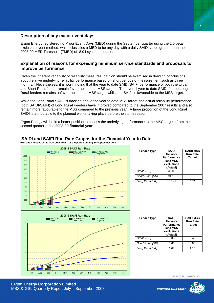### **Description of any major event days**

.

Ergon Energy registered no Major Event Days (MED) during the September quarter using the 2.5 beta exclusion event method, which classifies a MED to be any day with a daily SAIDI value greater than the 2008-09 MED Threshold (TMED) of 8.94 system minutes.

### **Explanation of reasons for exceeding minimum service standards and proposals to improve performance**

Given the inherent variability of reliability measures, caution should be exercised in drawing conclusions about relative underlying reliability performance based on short periods of measurement such as three months. Nevertheless, it is worth noting that the year to date SAIDI/SAIFI performance of both the Urban and Short Rural feeder remain favourable to the MSS targets. The overall year to date SAIDI for the Long Rural feeders remains unfavourable to the MSS target whilst the SAIFI is favourable to the MSS target.

While the Long Rural SAIDI is tracking above the year to date MSS target, the actual reliability performance (both SAIDI/SAIFI) of Long Rural Feeders have improved compared to the September 2007 results and also remain more favourable to the MSS compared to the previous year. A large proportion of the Long Rural SAIDI is attributable to the planned works taking place before the storm season.

Ergon Energy will be in a better position to assess the underlying performance to the MSS targets from the second quarter of the **2008-09 financial year**.



### **SAIDI and SAIFI Run Rate Graphs for the Financial Year to Date (Results effective as at 8 October 2008, for the period ending 30 September 2008)**

**Ergon Energy Corporation Limited**  MSS & GSL Quarterly Report July – September 2008

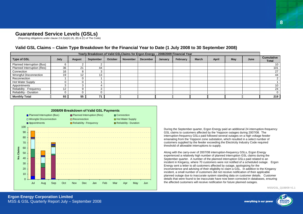### **Guaranteed Service Levels (GSLs)**

(Reporting obligations under clause 2.6.2(a)(ii) (A), (B) & (C) of The Code)

| Yearly Breakdown of Valid GSLClaims for Ergon Energy - 2008/2009 Financial Year |      |               |           |                |                 |                 |         |          |              |       |     |      |                                   |
|---------------------------------------------------------------------------------|------|---------------|-----------|----------------|-----------------|-----------------|---------|----------|--------------|-------|-----|------|-----------------------------------|
| Type of GSL                                                                     | July | <b>August</b> | September | <b>October</b> | <b>November</b> | <b>December</b> | January | February | <b>March</b> | April | May | June | <b>Cumulative</b><br><b>Total</b> |
| Planned Interruption (Bus)                                                      |      |               |           |                |                 |                 |         |          |              |       |     |      | 10                                |
| Planned Interruption (Res)                                                      | 36   | $\sim$        | 44        |                |                 |                 |         |          |              |       |     |      | 101                               |
| Connection                                                                      | 16   |               |           |                |                 |                 |         |          |              |       |     |      | 27                                |
| <b>Wrongful Disconnection</b>                                                   | 19   |               | 13        |                |                 |                 |         |          |              |       |     |      | 44                                |
| Reconnection                                                                    |      |               |           |                |                 |                 |         |          |              |       |     |      |                                   |
| Hot Water Supply                                                                |      |               |           |                |                 |                 |         |          |              |       |     |      |                                   |
| Appointments                                                                    |      |               |           |                |                 |                 |         |          |              |       |     |      | 10                                |
| <b>Reliability - Frequency</b>                                                  |      |               |           |                |                 |                 |         |          |              |       |     |      | 24                                |
| <b>Reliability - Duration</b>                                                   |      |               |           |                |                 |                 |         |          |              |       |     |      |                                   |
| <b>Monthly Total</b>                                                            | 93   | 55            | 74        |                |                 |                 |         |          |              |       |     |      | 219                               |

### **Valid GSL Claims – Claim Type Breakdown for the Financial Year to Date (1 July 2008 to 30 September 2008)**



During the September quarter, Ergon Energy paid an additional 24 interruption-frequency GSL claims to customers affected by the Yeppoon outages during 2007/08. The interruption-frequency GSLs paid followed several outages on a high voltage feeder emanating from the Yeppoon zone substation, which resulted in a select number of customers supplied by the feeder exceeding the Electricity Industry Code required threshold of allowable interruptions to supply.

Along with the carry-over of 2007/08 interruption-frequency GSLs, Ergon Energy experienced a relatively high number of planned interruption GSL claims during the September quarter. A number of the planned interruption GSLs paid related to an incident in Kingaroy, where 70 customers were not notified of a scheduled outage. Ergon Energy sent a letter to all customers affected by outage, apologising for the inconvenience and advising of their eligibility to claim a GSL. In addition to the Kingaroy incident, a small number of customers did not receive notification of their applicable planned outage due to inaccurate system standing data on customer details. Customer details that were found to be inaccurate have now been corrected in databases, ensuring the affected customers will receive notification for future planned outages.

MSS/GSL\_Q108/09 V1.1

everything in our power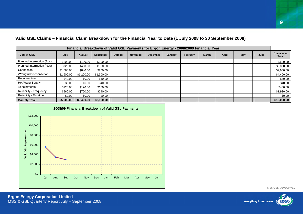| Financial Breakdown of Valid GSL Payments for Ergon Energy - 2008/2009 Financial Year |            |            |            |                |                 |                 |         |          |              |       |     |      |                                   |
|---------------------------------------------------------------------------------------|------------|------------|------------|----------------|-----------------|-----------------|---------|----------|--------------|-------|-----|------|-----------------------------------|
| <b>Type of GSL</b>                                                                    | July       | August     | September  | <b>October</b> | <b>November</b> | <b>December</b> | January | February | <b>March</b> | April | May | June | <b>Cumulative</b><br><b>Total</b> |
| Planned Interruption (Bus)                                                            | \$300.00   | \$100.00   | \$100.00   |                |                 |                 |         |          |              |       |     |      | \$500.00                          |
| Planned Interruption (Res)                                                            | \$720.00   | \$480.00   | \$880.00   |                |                 |                 |         |          |              |       |     |      | \$2,080.00                        |
| Connection                                                                            | \$1,560.00 | \$840.00   | \$200.00   |                |                 |                 |         |          |              |       |     |      | \$2,600.00                        |
| <b>Wrongful Disconnection</b>                                                         | \$1,900.00 | \$1,200.00 | \$1,300.00 |                |                 |                 |         |          |              |       |     |      | \$4,400.00                        |
| Reconnection                                                                          | \$40.00    | \$0.00     | \$40.00    |                |                 |                 |         |          |              |       |     |      | \$80.00                           |
| <b>Hot Water Supply</b>                                                               | \$0.00     | \$0.00     | \$40.00    |                |                 |                 |         |          |              |       |     |      | \$40.00                           |
| Appointments                                                                          | \$120.00   | \$120.00   | \$160.00   |                |                 |                 |         |          |              |       |     |      | \$400.00                          |
| Reliability - Frequency                                                               | \$960.00   | \$720.00   | \$240.00   |                |                 |                 |         |          |              |       |     |      | \$1,920.00                        |
| <b>Reliability - Duration</b>                                                         | \$0.00     | \$0.00     | \$0.00     |                |                 |                 |         |          |              |       |     |      | \$0.00                            |
| <b>Monthly Total</b>                                                                  | \$5,600.00 | \$3,460.00 | \$2,960.00 |                |                 |                 |         |          |              |       |     |      | \$12,020.00                       |

### **Valid GSL Claims – Financial Claim Breakdown for the Financial Year to Date (1 July 2008 to 30 September 2008)**

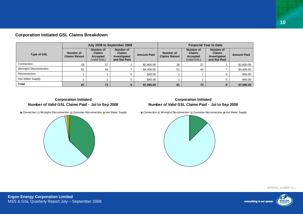|  |  |  |  | <b>Corporation Initiated GSL Claims Breakdown</b> |
|--|--|--|--|---------------------------------------------------|
|--|--|--|--|---------------------------------------------------|

|                               |                                   | July 2008 to September 2008                           |                                                            |                    | <b>Financial Year to Date</b>     |                                                       |                                                            |                    |  |  |  |
|-------------------------------|-----------------------------------|-------------------------------------------------------|------------------------------------------------------------|--------------------|-----------------------------------|-------------------------------------------------------|------------------------------------------------------------|--------------------|--|--|--|
| <b>Type of GSL</b>            | Number of<br><b>Claims Raised</b> | Number of<br><b>Claims</b><br>Accepted<br>(Valid GSL) | Number of<br><b>Claims</b><br>Investigated<br>and Not Paid | <b>Amount Paid</b> | Number of<br><b>Claims Raised</b> | Number of<br><b>Claims</b><br>Accepted<br>(Valid GSL) | Number of<br><b>Claims</b><br>Investigated<br>and Not Paid | <b>Amount Paid</b> |  |  |  |
| Connection                    | 28                                | 27                                                    |                                                            | \$2,600.00         | 28                                | 27                                                    |                                                            | \$2,600.00         |  |  |  |
| <b>Wrongful Disconnection</b> | 51                                | 44                                                    |                                                            | \$4,400.00         | 51                                | 44                                                    |                                                            | \$4,400.00         |  |  |  |
| Reconnection                  |                                   |                                                       |                                                            | \$40.00            |                                   |                                                       |                                                            | \$40.00            |  |  |  |
| Hot Water Supply              |                                   |                                                       |                                                            | \$40.00            |                                   |                                                       |                                                            | \$40.00            |  |  |  |
| Total                         | 81                                | 73                                                    | 8                                                          | \$7,080.00         | 81                                | 73                                                    | 8                                                          | \$7,080.00         |  |  |  |

### **Corporation Initiated Number of Valid GSL Claims Paid - Jul to Sep 2008**

### **Corporation Initiated Number of Valid GSL Claims Paid - Jul to Sep 2008**

Connection □ Wrongful Disconnection □ Customer Reconnection □ Hot Water Supply



Connection □ Wrongful Disconnection □ Customer Reconnection ■ Hot Water Supply



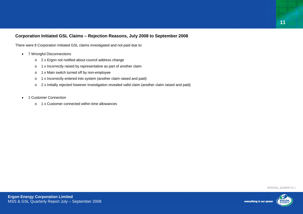### **Corporation Initiated GSL Claims – Rejection Reasons, July 2008 to September 2008**

There were 8 Corporation Initiated GSL claims investigated and not paid due to:

- 7 Wrongful Disconnections
	- <sup>o</sup> 2 x Ergon not notified about council address change
	- <sup>o</sup> 1 x Incorrectly raised by representative as part of another claim
	- <sup>o</sup> 1 x Main switch turned off by non-employee
	- <sup>o</sup> 1 x Incorrectly entered into system (another claim raised and paid)
	- <sup>o</sup> 2 x Initially rejected however investigation revealed valid claim (another claim raised and paid)
- 1 Customer Connection
	- o 1 x Customer connected within time allowances

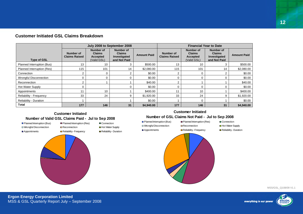|  |  |  |  | <b>Customer Initiated GSL Claims Breakdown</b> |
|--|--|--|--|------------------------------------------------|
|--|--|--|--|------------------------------------------------|

|                               |                                   | July 2008 to September 2008                           |                                                                   |                    | <b>Financial Year to Date</b>            |                                                       |                                                                   |                    |  |  |
|-------------------------------|-----------------------------------|-------------------------------------------------------|-------------------------------------------------------------------|--------------------|------------------------------------------|-------------------------------------------------------|-------------------------------------------------------------------|--------------------|--|--|
| <b>Type of GSL</b>            | Number of<br><b>Claims Raised</b> | Number of<br><b>Claims</b><br>Accepted<br>(Valid GSL) | <b>Number of</b><br><b>Claims</b><br>Investigated<br>and Not Paid | <b>Amount Paid</b> | <b>Number of</b><br><b>Claims Raised</b> | Number of<br><b>Claims</b><br>Accepted<br>(Valid GSL) | <b>Number of</b><br><b>Claims</b><br>Investigated<br>and Not Paid | <b>Amount Paid</b> |  |  |
| Planned Interruption (Bus)    | 13                                | 10                                                    | 3                                                                 | \$500.00           | 13                                       | 10                                                    | 3                                                                 | \$500.00           |  |  |
| Planned Interruption (Res)    | 115                               | 101                                                   | 14                                                                | \$2,080.00         | 115                                      | 101                                                   | 14                                                                | \$2,080.00         |  |  |
| Connection                    |                                   | $\Omega$                                              |                                                                   | \$0.00             | $\overline{2}$                           | 0                                                     | 2                                                                 | \$0.00             |  |  |
| Wrongful Disconnection        |                                   | ∩                                                     |                                                                   | \$0.00             | $\Omega$                                 | 0                                                     | $\Omega$                                                          | \$0.00             |  |  |
| Reconnection                  |                                   |                                                       |                                                                   | \$40.00            | 2                                        |                                                       |                                                                   | \$40.00            |  |  |
| <b>Hot Water Supply</b>       |                                   |                                                       |                                                                   | \$0.00             | 0                                        | 0                                                     | 0                                                                 | \$0.00             |  |  |
| Appointments                  | 11                                | 10                                                    |                                                                   | \$400.00           | 11                                       | 10                                                    |                                                                   | \$400.00           |  |  |
| Reliability - Frequency       | 33                                | 24                                                    | 9                                                                 | \$1,920.00         | 33                                       | 24                                                    | 9                                                                 | \$1,920.00         |  |  |
| <b>Reliability - Duration</b> |                                   |                                                       |                                                                   | \$0.00             |                                          | 0                                                     |                                                                   | \$0.00             |  |  |
| <b>Total</b>                  | 177                               | 146                                                   | 31                                                                | \$4,940.00         | 177                                      | 146                                                   | 31                                                                | \$4,940.00         |  |  |

### **Customer Initiated**

### **Number of Valid GSL Claims Paid - Jul to Sep 2008**



■ Planned Interruption (Bus) ■ Planned Interruption (Res) ■ Connection □ Wrongful Disconnection ■ Reconnection ■ Hot Water Supply



■ Appointments **B** Reliability - Frequency **B** Reliability - Duration

### **Customer Initiated**

### **Number of GSL Claims Not Paid - Jul to Sep 2008**

- Planned Interruption (Bus) Planned Interruption (Res) Connection
- □ Wrongful Disconnection Reconnection Hot Water Supply
- 

# **Appointments Reliability - Frequency Reliability - Duration**